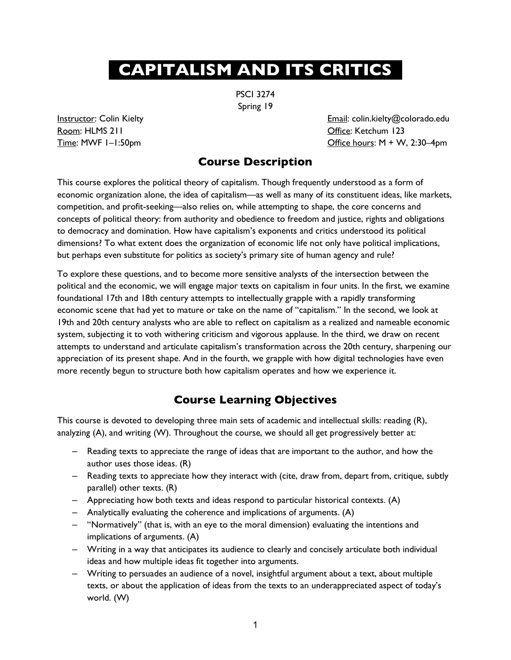# **. CAPITALISM AND ITS CRITICS .**

PSCI 3274 Spring 19

Room: HLMS 211 Company of the Company of the Company of Company of Company of Company of Company of Company of Company of Company of Company of Company of Company of Company of Company of Company of Company of Company of C

Instructor: Colin Kielty **Email: Colin.kielty@colorado.edu** Time: MWF  $I-I:50pm$  Office hours: M + W, 2:30–4pm

# **Course Description**

This course explores the political theory of capitalism. Though frequently understood as a form of economic organization alone, the idea of capitalism—as well as many of its constituent ideas, like markets, competition, and profit-seeking—also relies on, while attempting to shape, the core concerns and concepts of political theory: from authority and obedience to freedom and justice, rights and obligations to democracy and domination. How have capitalism's exponents and critics understood its political dimensions? To what extent does the organization of economic life not only have political implications, but perhaps even substitute for politics as society's primary site of human agency and rule?

To explore these questions, and to become more sensitive analysts of the intersection between the political and the economic, we will engage major texts on capitalism in four units. In the first, we examine foundational 17th and 18th century attempts to intellectually grapple with a rapidly transforming economic scene that had yet to mature or take on the name of "capitalism." In the second, we look at 19th and 20th century analysts who are able to reflect on capitalism as a realized and nameable economic system, subjecting it to voth withering criticism and vigorous applause. In the third, we draw on recent attempts to understand and articulate capitalism's transformation across the 20th century, sharpening our appreciation of its present shape. And in the fourth, we grapple with how digital technologies have even more recently begun to structure both how capitalism operates and how we experience it.

# **Course Learning Objectives**

This course is devoted to developing three main sets of academic and intellectual skills: reading (R), analyzing (A), and writing (W). Throughout the course, we should all get progressively better at:

- ‒ Reading texts to appreciate the range of ideas that are important to the author, and how the author uses those ideas. (R)
- ‒ Reading texts to appreciate how they interact with (cite, draw from, depart from, critique, subtly parallel) other texts. (R)
- $-$  Appreciating how both texts and ideas respond to particular historical contexts. (A)
- ‒ Analytically evaluating the coherence and implications of arguments. (A)
- ‒ "Normatively" (that is, with an eye to the moral dimension) evaluating the intentions and implications of arguments. (A)
- ‒ Writing in a way that anticipates its audience to clearly and concisely articulate both individual ideas and how multiple ideas fit together into arguments.
- ‒ Writing to persuades an audience of a novel, insightful argument about a text, about multiple texts, or about the application of ideas from the texts to an underappreciated aspect of today's world. (W)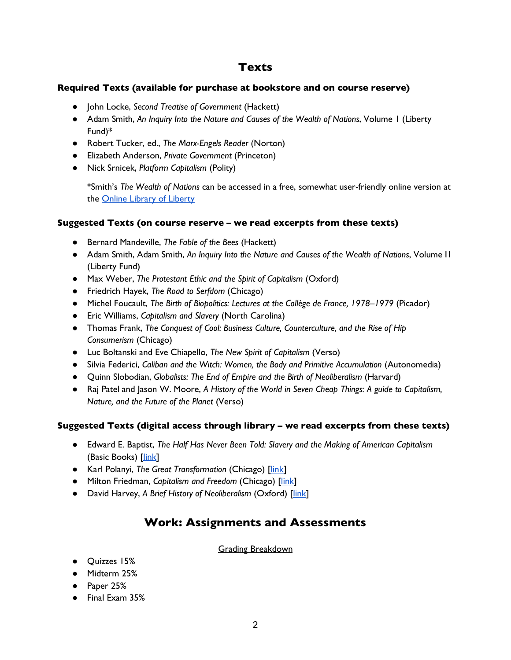# **Texts**

#### **Required Texts (available for purchase at bookstore and on course reserve)**

- John Locke, *Second Treatise of Government* (Hackett)
- Adam Smith, *An Inquiry Into the Nature and Causes of the Wealth of Nations*, Volume 1 (Liberty Fund)\*
- Robert Tucker, ed., *The Marx-Engels Reader* (Norton)
- Elizabeth Anderson, *Private Government* (Princeton)
- Nick Srnicek, *Platform Capitalism* (Polity)

\*Smith's *The Wealth of Nations* can be accessed in a free, somewhat user-friendly online version at the Online Library of Liberty

#### **Suggested Texts (on course reserve – we read excerpts from these texts)**

- Bernard Mandeville, *The Fable of the Bees* (Hackett)
- Adam Smith, Adam Smith, *An Inquiry Into the Nature and Causes of the Wealth of Nations*, Volume I1 (Liberty Fund)
- Max Weber, *The Protestant Ethic and the Spirit of Capitalism* (Oxford)
- Friedrich Hayek, *The Road to Serfdom* (Chicago)
- Michel Foucault, *The Birth of Biopolitics: Lectures at the Collège de France, 1978–1979* (Picador)
- Eric Williams, *Capitalism and Slavery* (North Carolina)
- Thomas Frank, *The Conquest of Cool: Business Culture, Counterculture, and the Rise of Hip Consumerism* (Chicago)
- Luc Boltanski and Eve Chiapello, *The New Spirit of Capitalism* (Verso)
- Silvia Federici, *Caliban and the Witch: Women, the Body and Primitive Accumulation* (Autonomedia)
- Quinn Slobodian, *Globalists: The End of Empire and the Birth of Neoliberalism* (Harvard)
- Raj Patel and Jason W. Moore, *A History of the World in Seven Cheap Things: A guide to Capitalism*, *Nature, and the Future of the Planet* (Verso)

#### **Suggested Texts (digital access through library – we read excerpts from these texts)**

- Edward E. Baptist, *The Half Has Never Been Told: Slavery and the Making of American Capitalism* (Basic Books) [link]
- Karl Polanyi, *The Great Transformation* (Chicago) [link]
- Milton Friedman, *Capitalism and Freedom* (Chicago) [link]
- David Harvey, *A Brief History of Neoliberalism* (Oxford) [link]

# **Work: Assignments and Assessments**

#### Grading Breakdown

- Quizzes 15%
- Midterm 25%
- Paper 25%
- Final Exam 35%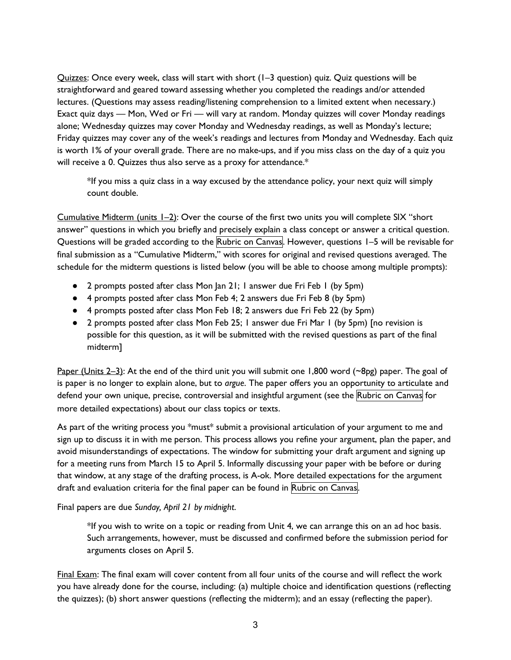Quizzes: Once every week, class will start with short (1–3 question) quiz. Quiz questions will be straightforward and geared toward assessing whether you completed the readings and/or attended lectures. (Questions may assess reading/listening comprehension to a limited extent when necessary.) Exact quiz days — Mon, Wed or Fri — will vary at random. Monday quizzes will cover Monday readings alone; Wednesday quizzes may cover Monday and Wednesday readings, as well as Monday's lecture; Friday quizzes may cover any of the week's readings and lectures from Monday and Wednesday. Each quiz is worth 1% of your overall grade. There are no make-ups, and if you miss class on the day of a quiz you will receive a 0. Quizzes thus also serve as a proxy for attendance.\*

\*If you miss a quiz class in a way excused by the attendance policy, your next quiz will simply count double.

Cumulative Midterm (units 1–2): Over the course of the first two units you will complete SIX "short answer" questions in which you briefly and precisely explain a class concept or answer a critical question. Questions will be graded according to the Rubric on Canvas. However, questions 1–5 will be revisable for final submission as a "Cumulative Midterm," with scores for original and revised questions averaged. The schedule for the midterm questions is listed below (you will be able to choose among multiple prompts):

- 2 prompts posted after class Mon Jan 21; 1 answer due Fri Feb 1 (by 5pm)
- 4 prompts posted after class Mon Feb 4; 2 answers due Fri Feb 8 (by 5pm)
- 4 prompts posted after class Mon Feb 18; 2 answers due Fri Feb 22 (by 5pm)
- 2 prompts posted after class Mon Feb 25; 1 answer due Fri Mar 1 (by 5pm) [no revision is possible for this question, as it will be submitted with the revised questions as part of the final midterm]

Paper (Units 2–3): At the end of the third unit you will submit one 1,800 word (~8pg) paper. The goal of is paper is no longer to explain alone, but to *argue*. The paper offers you an opportunity to articulate and defend your own unique, precise, controversial and insightful argument (see the Rubric on Canvas for more detailed expectations) about our class topics or texts.

As part of the writing process you \*must\* submit a provisional articulation of your argument to me and sign up to discuss it in with me person. This process allows you refine your argument, plan the paper, and avoid misunderstandings of expectations. The window for submitting your draft argument and signing up for a meeting runs from March 15 to April 5. Informally discussing your paper with be before or during that window, at any stage of the drafting process, is A-ok. More detailed expectations for the argument draft and evaluation criteria for the final paper can be found in Rubric on Canvas.

Final papers are due *Sunday, April 21 by midnight*.

\*If you wish to write on a topic or reading from Unit 4, we can arrange this on an ad hoc basis. Such arrangements, however, must be discussed and confirmed before the submission period for arguments closes on April 5.

Final Exam: The final exam will cover content from all four units of the course and will reflect the work you have already done for the course, including: (a) multiple choice and identification questions (reflecting the quizzes); (b) short answer questions (reflecting the midterm); and an essay (reflecting the paper).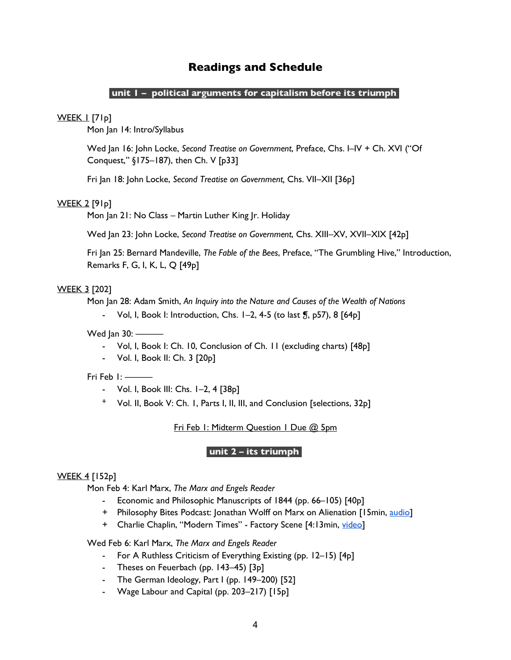# **Readings and Schedule**

#### **unit 1 – political arguments for capitalism before its triumph .**

#### **WEEK 1 [71p]**

Mon Jan 14: Intro/Syllabus

Wed Jan 16: John Locke, *Second Treatise on Government*, Preface, Chs. I–IV + Ch. XVI ("Of Conquest," §175–187), then Ch. V [p33]

Fri Jan 18: John Locke, *Second Treatise on Government,* Chs. VII–XII [36p]

#### WEEK 2 [91p]

Mon Jan 21: No Class – Martin Luther King Jr. Holiday

Wed Jan 23: John Locke, *Second Treatise on Government*, Chs. XIII–XV, XVII–XIX [42p]

Fri Jan 25: Bernard Mandeville, *The Fable of the Bees*, Preface, "The Grumbling Hive," Introduction, Remarks F, G, I, K, L, Q [49p]

#### WEEK 3 [202]

Mon Jan 28: Adam Smith, *An Inquiry into the Nature and Causes of the Wealth of Nations*

- Vol, I, Book I: Introduction, Chs.  $1-2$ , 4-5 (to last  $\overline{9}$ , p57), 8  $[64p]$ 

Wed Jan  $30:$   $-$ 

- Vol, I, Book I: Ch. 10, Conclusion of Ch. 11 (excluding charts) [48p]
- Vol. I, Book II: Ch. 3 [20p]

#### Fri Feb 1: --

- Vol. I, Book III: Chs. 1–2, 4 [38p]
- ᐩ Vol. II, Book V: Ch. 1, Parts I, II, III, and Conclusion [selections, 32p]

Fri Feb 1: Midterm Question 1 Due @ 5pm

#### **unit 2 – its triumph .**

#### WEEK 4 [152p]

Mon Feb 4: Karl Marx, *The Marx and Engels Reader*

- Economic and Philosophic Manuscripts of 1844 (pp. 66–105) [40p]
- + Philosophy Bites Podcast: Jonathan Wolff on Marx on Alienation [15min, audio]
- + Charlie Chaplin, "Modern Times" Factory Scene [4:13min, video]

Wed Feb 6: Karl Marx, *The Marx and Engels Reader*

- For A Ruthless Criticism of Everything Existing (pp. 12–15) [4p]
- Theses on Feuerbach (pp. 143–45) [3p]
- The German Ideology, Part I (pp. 149–200) [52]
- Wage Labour and Capital (pp. 203–217) [15p]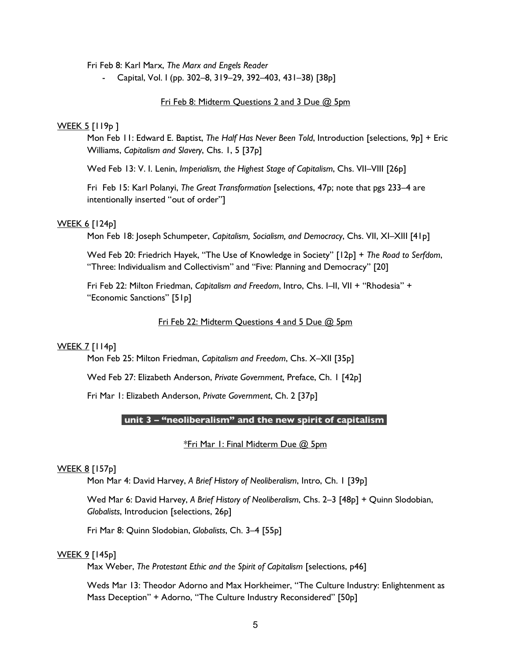Fri Feb 8: Karl Marx, *The Marx and Engels Reader*

- Capital, Vol. I (pp. 302–8, 319–29, 392–403, 431–38) [38p]

#### Fri Feb 8: Midterm Questions 2 and 3 Due @ 5pm

#### <u>WEEK 5</u> [119<sub>p</sub> ]

Mon Feb 11: Edward E. Baptist, *The Half Has Never Been Told*, Introduction [selections, 9p] + Eric Williams, *Capitalism and Slavery*, Chs. 1, 5 [37p]

Wed Feb 13: V. I. Lenin, *Imperialism, the Highest Stage of Capitalism*, Chs. VII–VIII [26p]

Fri Feb 15: Karl Polanyi, *The Great Transformation* [selections, 47p; note that pgs 233–4 are intentionally inserted "out of order"]

#### WEEK 6 [124p]

Mon Feb 18: Joseph Schumpeter, *Capitalism, Socialism, and Democracy*, Chs. VII, XI–XIII [41p]

Wed Feb 20: Friedrich Hayek, "The Use of Knowledge in Society" [12p] + *The Road to Serfdom*, "Three: Individualism and Collectivism" and "Five: Planning and Democracy" [20]

Fri Feb 22: Milton Friedman, *Capitalism and Freedom*, Intro, Chs. I–II, VII + "Rhodesia" + "Economic Sanctions" [51p]

#### Fri Feb 22: Midterm Questions 4 and 5 Due @ 5pm

#### WEEK 7 [114<sub>p]</sub>

Mon Feb 25: Milton Friedman, *Capitalism and Freedom*, Chs. X–XII [35p]

Wed Feb 27: Elizabeth Anderson, *Private Government*, Preface, Ch. 1 [42p]

Fri Mar 1: Elizabeth Anderson, *Private Government*, Ch. 2 [37p]

#### **unit 3 – "neoliberalism" and the new spirit of capitalism .**

#### \*Fri Mar 1: Final Midterm Due @ 5pm

#### WEEK 8 [157p]

Mon Mar 4: David Harvey, *A Brief History of Neoliberalism*, Intro, Ch. 1 [39p]

Wed Mar 6: David Harvey, *A Brief History of Neoliberalism*, Chs. 2–3 [48p] + Quinn Slodobian, *Globalists*, Introducion [selections, 26p]

Fri Mar 8: Quinn Slodobian, *Globalists*, Ch. 3–4 [55p]

#### WEEK 9 [145p]

Max Weber, *The Protestant Ethic and the Spirit of Capitalism* [selections, p46]

Weds Mar 13: Theodor Adorno and Max Horkheimer, "The Culture Industry: Enlightenment as Mass Deception" + Adorno, "The Culture Industry Reconsidered" [50p]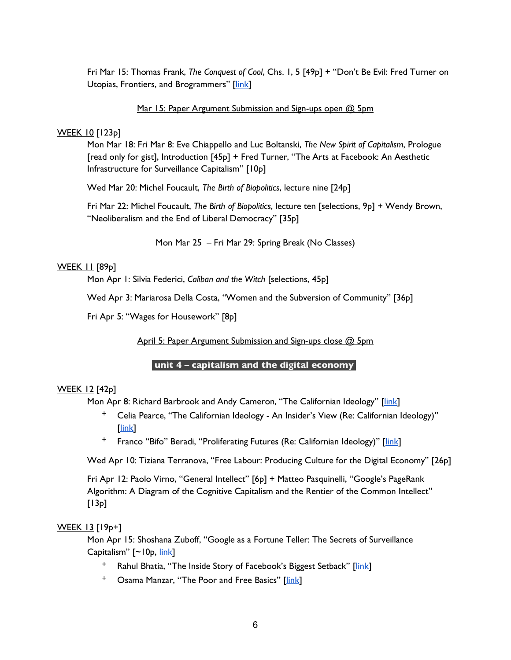Fri Mar 15: Thomas Frank, *The Conquest of Cool*, Chs. 1, 5 [49p] + "Don't Be Evil: Fred Turner on Utopias, Frontiers, and Brogrammers" [link]

#### Mar 15: Paper Argument Submission and Sign-ups open @ 5pm

#### WEEK 10 [123p]

Mon Mar 18: Fri Mar 8: Eve Chiappello and Luc Boltanski, *The New Spirit of Capitalism*, Prologue [read only for gist], Introduction [45p] + Fred Turner, "The Arts at Facebook: An Aesthetic Infrastructure for Surveillance Capitalism" [10p]

Wed Mar 20: Michel Foucault, *The Birth of Biopolitics*, lecture nine [24p]

Fri Mar 22: Michel Foucault, *The Birth of Biopolitics*, lecture ten [selections, 9p] + Wendy Brown, "Neoliberalism and the End of Liberal Democracy" [35p]

Mon Mar 25 – Fri Mar 29: Spring Break (No Classes)

#### WEEK 11 [89p]

Mon Apr 1: Silvia Federici, *Caliban and the Witch* [selections, 45p]

Wed Apr 3: Mariarosa Della Costa, "Women and the Subversion of Community" [36p]

Fri Apr 5: "Wages for Housework" [8p]

April 5: Paper Argument Submission and Sign-ups close @ 5pm

## **unit 4 – capitalism and the digital economy .**

## WEEK 12 [42p]

Mon Apr 8: Richard Barbrook and Andy Cameron, "The Californian Ideology" [link]

- ᐩ Celia Pearce, "The Californian Ideology An Insider's View (Re: Californian Ideology)" [link]
- <sup>+</sup> Franco "Bifo" Beradi, "Proliferating Futures (Re: Californian Ideology)" [link]

Wed Apr 10: Tiziana Terranova, "Free Labour: Producing Culture for the Digital Economy" [26p]

Fri Apr 12: Paolo Virno, "General Intellect" [6p] + Matteo Pasquinelli, "Google's PageRank Algorithm: A Diagram of the Cognitive Capitalism and the Rentier of the Common Intellect"  $[13p]$ 

#### WEEK 13 [19p+]

Mon Apr 15: Shoshana Zuboff, "Google as a Fortune Teller: The Secrets of Surveillance Capitalism" [~10p, link]

- <sup>+</sup> Rahul Bhatia, "The Inside Story of Facebook's Biggest Setback" [link]
- <sup>+</sup> Osama Manzar, "The Poor and Free Basics" [link]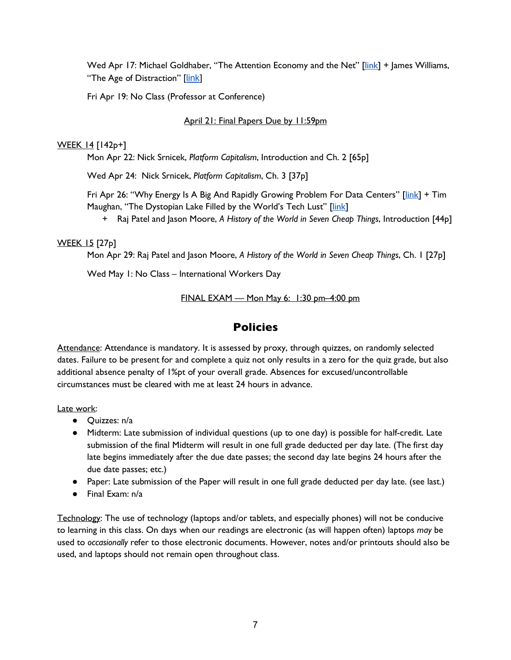Wed Apr 17: Michael Goldhaber, "The Attention Economy and the Net" [link] + James Williams, "The Age of Distraction" [link]

Fri Apr 19: No Class (Professor at Conference)

## April 21: Final Papers Due by 11:59pm

#### WEEK 14 [142p+]

Mon Apr 22: Nick Srnicek, *Platform Capitalism*, Introduction and Ch. 2 [65p]

Wed Apr 24: Nick Srnicek, *Platform Capitalism*, Ch. 3 [37p]

Fri Apr 26: "Why Energy Is A Big And Rapidly Growing Problem For Data Centers" [link] + Tim Maughan, "The Dystopian Lake Filled by the World's Tech Lust" [link]

+ Raj Patel and Jason Moore, *A History of the World in Seven Cheap Things*, Introduction [44p]

## WEEK 15 [27p]

Mon Apr 29: Raj Patel and Jason Moore, *A History of the World in Seven Cheap Things*, Ch. 1 [27p]

Wed May 1: No Class – International Workers Day

FINAL EXAM — Mon May 6: 1:30 pm-4:00 pm

# **Policies**

Attendance: Attendance is mandatory. It is assessed by proxy, through quizzes, on randomly selected dates. Failure to be present for and complete a quiz not only results in a zero for the quiz grade, but also additional absence penalty of 1%pt of your overall grade. Absences for excused/uncontrollable circumstances must be cleared with me at least 24 hours in advance.

#### Late work:

- Quizzes: n/a
- Midterm: Late submission of individual questions (up to one day) is possible for half-credit. Late submission of the final Midterm will result in one full grade deducted per day late. (The first day late begins immediately after the due date passes; the second day late begins 24 hours after the due date passes; etc.)
- Paper: Late submission of the Paper will result in one full grade deducted per day late. (see last.)
- Final Exam: n/a

Technology: The use of technology (laptops and/or tablets, and especially phones) will not be conducive to learning in this class. On days when our readings are electronic (as will happen often) laptops *may* be used to *occasionally* refer to those electronic documents. However, notes and/or printouts should also be used, and laptops should not remain open throughout class.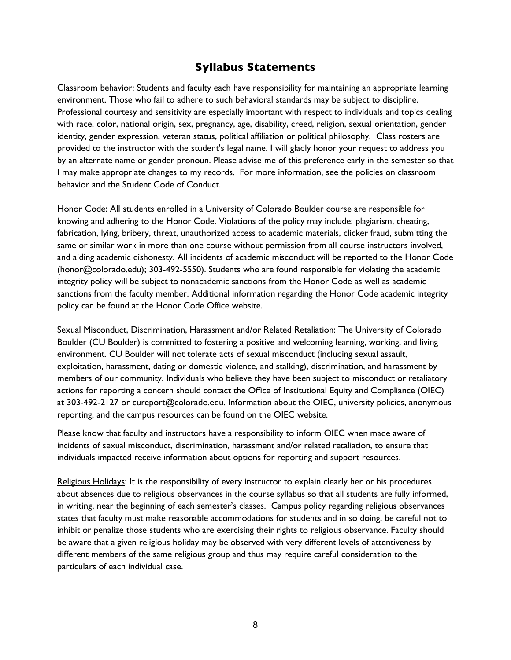# **Syllabus Statements**

Classroom behavior: Students and faculty each have responsibility for maintaining an appropriate learning environment. Those who fail to adhere to such behavioral standards may be subject to discipline. Professional courtesy and sensitivity are especially important with respect to individuals and topics dealing with race, color, national origin, sex, pregnancy, age, disability, creed, religion, sexual orientation, gender identity, gender expression, veteran status, political affiliation or political philosophy. Class rosters are provided to the instructor with the student's legal name. I will gladly honor your request to address you by an alternate name or gender pronoun. Please advise me of this preference early in the semester so that I may make appropriate changes to my records. For more information, see the policies on classroom behavior and the Student Code of Conduct.

Honor Code: All students enrolled in a University of Colorado Boulder course are responsible for knowing and adhering to the Honor Code. Violations of the policy may include: plagiarism, cheating, fabrication, lying, bribery, threat, unauthorized access to academic materials, clicker fraud, submitting the same or similar work in more than one course without permission from all course instructors involved, and aiding academic dishonesty. All incidents of academic misconduct will be reported to the Honor Code (honor@colorado.edu); 303-492-5550). Students who are found responsible for violating the academic integrity policy will be subject to nonacademic sanctions from the Honor Code as well as academic sanctions from the faculty member. Additional information regarding the Honor Code academic integrity policy can be found at the Honor Code Office website.

Sexual Misconduct, Discrimination, Harassment and/or Related Retaliation: The University of Colorado Boulder (CU Boulder) is committed to fostering a positive and welcoming learning, working, and living environment. CU Boulder will not tolerate acts of sexual misconduct (including sexual assault, exploitation, harassment, dating or domestic violence, and stalking), discrimination, and harassment by members of our community. Individuals who believe they have been subject to misconduct or retaliatory actions for reporting a concern should contact the Office of Institutional Equity and Compliance (OIEC) at 303-492-2127 or cureport@colorado.edu. Information about the OIEC, university policies, anonymous reporting, and the campus resources can be found on the OIEC website.

Please know that faculty and instructors have a responsibility to inform OIEC when made aware of incidents of sexual misconduct, discrimination, harassment and/or related retaliation, to ensure that individuals impacted receive information about options for reporting and support resources.

Religious Holidays: It is the responsibility of every instructor to explain clearly her or his procedures about absences due to religious observances in the course syllabus so that all students are fully informed, in writing, near the beginning of each semester's classes. Campus policy regarding religious observances states that faculty must make reasonable accommodations for students and in so doing, be careful not to inhibit or penalize those students who are exercising their rights to religious observance. Faculty should be aware that a given religious holiday may be observed with very different levels of attentiveness by different members of the same religious group and thus may require careful consideration to the particulars of each individual case.